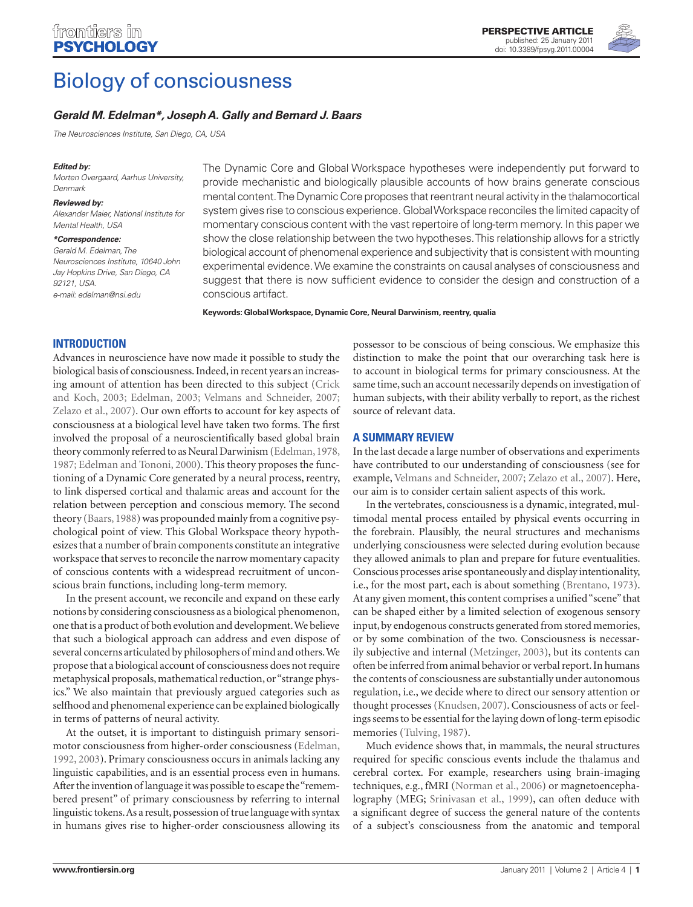

# Biology of consciousness

# *Gerald M. Edelman\*, Joseph A. Gally and Bernard J. Baars*

*The Neurosciences Institute, San Diego, CA, USA*

#### *Edited by:*

*Morten Overgaard, Aarhus University, Denmark*

#### *Reviewed by:*

*Alexander Maier, National Institute for Mental Health, USA*

#### *\*Correspondence:*

*Gerald M. Edelman, The Neurosciences Institute, 10640 John Jay Hopkins Drive, San Diego, CA 92121, USA. e-mail: edelman@nsi.edu*

The Dynamic Core and Global Workspace hypotheses were independently put forward to provide mechanistic and biologically plausible accounts of how brains generate conscious mental content. The Dynamic Core proposes that reentrant neural activity in the thalamocortical system gives rise to conscious experience. Global Workspace reconciles the limited capacity of momentary conscious content with the vast repertoire of long-term memory. In this paper we show the close relationship between the two hypotheses. This relationship allows for a strictly biological account of phenomenal experience and subjectivity that is consistent with mounting experimental evidence. We examine the constraints on causal analyses of consciousness and suggest that there is now sufficient evidence to consider the design and construction of a conscious artifact.

**Keywords: Global Workspace, Dynamic Core, Neural Darwinism, reentry, qualia**

## **Introduction**

Advances in neuroscience have now made it possible to study the biological basis of consciousness. Indeed, in recent years an increasing amount of attention has been directed to this subject (Crick and Koch, 2003; Edelman, 2003; Velmans and Schneider, 2007; Zelazo et al., 2007). Our own efforts to account for key aspects of consciousness at a biological level have taken two forms. The first involved the proposal of a neuroscientifically based global brain theory commonly referred to as Neural Darwinism (Edelman, 1978, 1987; Edelman and Tononi, 2000). This theory proposes the functioning of a Dynamic Core generated by a neural process, reentry, to link dispersed cortical and thalamic areas and account for the relation between perception and conscious memory. The second theory (Baars, 1988) was propounded mainly from a cognitive psychological point of view. This Global Workspace theory hypothesizes that a number of brain components constitute an integrative workspace that serves to reconcile the narrow momentary capacity of conscious contents with a widespread recruitment of unconscious brain functions, including long-term memory.

In the present account, we reconcile and expand on these early notions by considering consciousness as a biological phenomenon, one that is a product of both evolution and development. We believe that such a biological approach can address and even dispose of several concerns articulated by philosophers of mind and others. We propose that a biological account of consciousness does not require metaphysical proposals, mathematical reduction, or "strange physics." We also maintain that previously argued categories such as selfhood and phenomenal experience can be explained biologically in terms of patterns of neural activity.

At the outset, it is important to distinguish primary sensorimotor consciousness from higher-order consciousness (Edelman, 1992, 2003). Primary consciousness occurs in animals lacking any linguistic capabilities, and is an essential process even in humans. After the invention of language it was possible to escape the "remembered present" of primary consciousness by referring to internal linguistic tokens. As a result, possession of true language with syntax in humans gives rise to higher-order consciousness allowing its

possessor to be conscious of being conscious. We emphasize this distinction to make the point that our overarching task here is to account in biological terms for primary consciousness. At the same time, such an account necessarily depends on investigation of human subjects, with their ability verbally to report, as the richest source of relevant data.

# **A summary review**

In the last decade a large number of observations and experiments have contributed to our understanding of consciousness (see for example, Velmans and Schneider, 2007; Zelazo et al., 2007). Here, our aim is to consider certain salient aspects of this work.

In the vertebrates, consciousness is a dynamic, integrated, multimodal mental process entailed by physical events occurring in the forebrain. Plausibly, the neural structures and mechanisms underlying consciousness were selected during evolution because they allowed animals to plan and prepare for future eventualities. Conscious processes arise spontaneously and display intentionality, i.e., for the most part, each is about something (Brentano, 1973). At any given moment, this content comprises a unified "scene" that can be shaped either by a limited selection of exogenous sensory input, by endogenous constructs generated from stored memories, or by some combination of the two. Consciousness is necessarily subjective and internal (Metzinger, 2003), but its contents can often be inferred from animal behavior or verbal report. In humans the contents of consciousness are substantially under autonomous regulation, i.e., we decide where to direct our sensory attention or thought processes (Knudsen, 2007). Consciousness of acts or feelings seems to be essential for the laying down of long-term episodic memories (Tulving, 1987).

Much evidence shows that, in mammals, the neural structures required for specific conscious events include the thalamus and cerebral cortex. For example, researchers using brain-imaging techniques, e.g., fMRI (Norman et al., 2006) or magnetoencephalography (MEG; Srinivasan et al., 1999), can often deduce with a significant degree of success the general nature of the contents of a subject's consciousness from the anatomic and temporal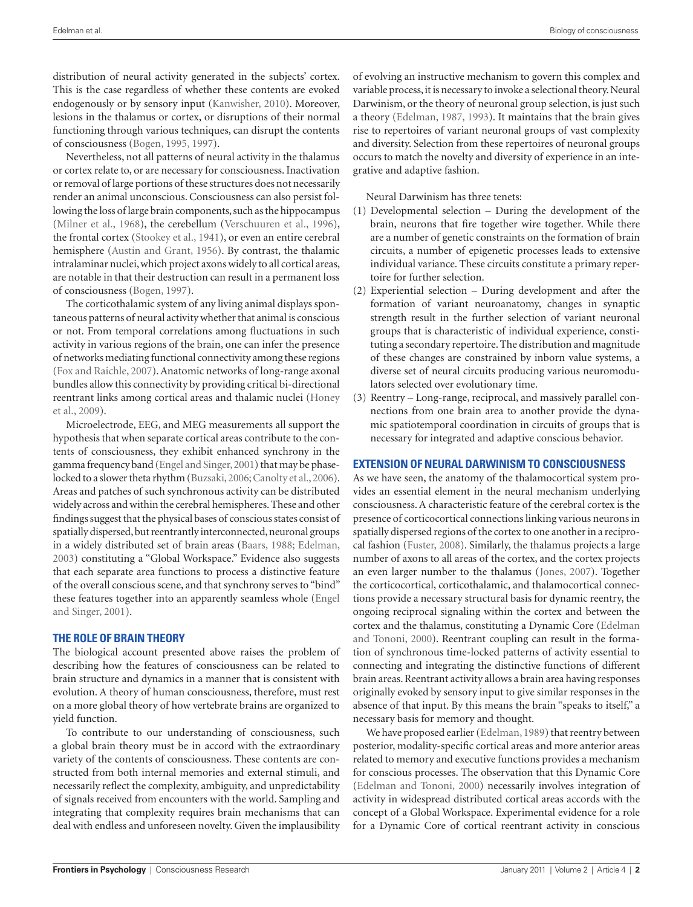distribution of neural activity generated in the subjects' cortex. This is the case regardless of whether these contents are evoked endogenously or by sensory input (Kanwisher, 2010). Moreover, lesions in the thalamus or cortex, or disruptions of their normal functioning through various techniques, can disrupt the contents of consciousness (Bogen, 1995, 1997).

Nevertheless, not all patterns of neural activity in the thalamus or cortex relate to, or are necessary for consciousness. Inactivation or removal of large portions of these structures does not necessarily render an animal unconscious. Consciousness can also persist following the loss of large brain components, such as the hippocampus (Milner et al., 1968), the cerebellum (Verschuuren et al., 1996), the frontal cortex (Stookey et al., 1941), or even an entire cerebral hemisphere (Austin and Grant, 1956). By contrast, the thalamic intralaminar nuclei, which project axons widely to all cortical areas, are notable in that their destruction can result in a permanent loss of consciousness (Bogen, 1997).

The corticothalamic system of any living animal displays spontaneous patterns of neural activity whether that animal is conscious or not. From temporal correlations among fluctuations in such activity in various regions of the brain, one can infer the presence of networks mediating functional connectivity among these regions (Fox and Raichle, 2007). Anatomic networks of long-range axonal bundles allow this connectivity by providing critical bi-directional reentrant links among cortical areas and thalamic nuclei (Honey et al., 2009).

Microelectrode, EEG, and MEG measurements all support the hypothesis that when separate cortical areas contribute to the contents of consciousness, they exhibit enhanced synchrony in the gamma frequency band (Engel and Singer, 2001) that may be phaselocked to a slower theta rhythm (Buzsaki, 2006; Canolty et al., 2006). Areas and patches of such synchronous activity can be distributed widely across and within the cerebral hemispheres. These and other findings suggest that the physical bases of conscious states consist of spatially dispersed, but reentrantly interconnected, neuronal groups in a widely distributed set of brain areas (Baars, 1988; Edelman, 2003) constituting a "Global Workspace." Evidence also suggests that each separate area functions to process a distinctive feature of the overall conscious scene, and that synchrony serves to "bind" these features together into an apparently seamless whole (Engel and Singer, 2001).

### **The role of brain theory**

The biological account presented above raises the problem of describing how the features of consciousness can be related to brain structure and dynamics in a manner that is consistent with evolution. A theory of human consciousness, therefore, must rest on a more global theory of how vertebrate brains are organized to yield function.

To contribute to our understanding of consciousness, such a global brain theory must be in accord with the extraordinary variety of the contents of consciousness. These contents are constructed from both internal memories and external stimuli, and necessarily reflect the complexity, ambiguity, and unpredictability of signals received from encounters with the world. Sampling and integrating that complexity requires brain mechanisms that can deal with endless and unforeseen novelty. Given the implausibility of evolving an instructive mechanism to govern this complex and variable process, it is necessary to invoke a selectional theory. Neural Darwinism, or the theory of neuronal group selection, is just such a theory (Edelman, 1987, 1993). It maintains that the brain gives rise to repertoires of variant neuronal groups of vast complexity and diversity. Selection from these repertoires of neuronal groups occurs to match the novelty and diversity of experience in an integrative and adaptive fashion.

Neural Darwinism has three tenets:

- (1) Developmental selection During the development of the brain, neurons that fire together wire together. While there are a number of genetic constraints on the formation of brain circuits, a number of epigenetic processes leads to extensive individual variance. These circuits constitute a primary repertoire for further selection.
- (2) Experiential selection During development and after the formation of variant neuroanatomy, changes in synaptic strength result in the further selection of variant neuronal groups that is characteristic of individual experience, constituting a secondary repertoire. The distribution and magnitude of these changes are constrained by inborn value systems, a diverse set of neural circuits producing various neuromodulators selected over evolutionary time.
- (3) Reentry Long-range, reciprocal, and massively parallel connections from one brain area to another provide the dynamic spatiotemporal coordination in circuits of groups that is necessary for integrated and adaptive conscious behavior.

## **Extension of Neural Darwinism to consciousness**

As we have seen, the anatomy of the thalamocortical system provides an essential element in the neural mechanism underlying consciousness. A characteristic feature of the cerebral cortex is the presence of corticocortical connections linking various neurons in spatially dispersed regions of the cortex to one another in a reciprocal fashion (Fuster, 2008). Similarly, the thalamus projects a large number of axons to all areas of the cortex, and the cortex projects an even larger number to the thalamus (Jones, 2007). Together the corticocortical, corticothalamic, and thalamocortical connections provide a necessary structural basis for dynamic reentry, the ongoing reciprocal signaling within the cortex and between the cortex and the thalamus, constituting a Dynamic Core (Edelman and Tononi, 2000). Reentrant coupling can result in the formation of synchronous time-locked patterns of activity essential to connecting and integrating the distinctive functions of different brain areas. Reentrant activity allows a brain area having responses originally evoked by sensory input to give similar responses in the absence of that input. By this means the brain "speaks to itself," a necessary basis for memory and thought.

We have proposed earlier (Edelman, 1989) that reentry between posterior, modality-specific cortical areas and more anterior areas related to memory and executive functions provides a mechanism for conscious processes. The observation that this Dynamic Core (Edelman and Tononi, 2000) necessarily involves integration of activity in widespread distributed cortical areas accords with the concept of a Global Workspace. Experimental evidence for a role for a Dynamic Core of cortical reentrant activity in conscious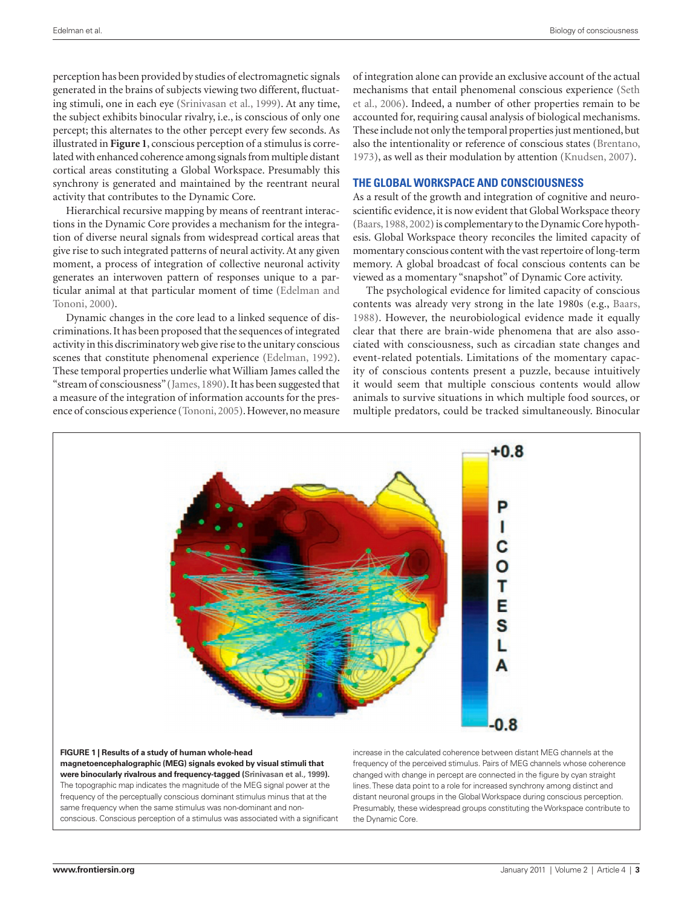perception has been provided by studies of electromagnetic signals generated in the brains of subjects viewing two different, fluctuating stimuli, one in each eye (Srinivasan et al., 1999). At any time, the subject exhibits binocular rivalry, i.e., is conscious of only one percept; this alternates to the other percept every few seconds. As illustrated in **Figure 1**, conscious perception of a stimulus is correlated with enhanced coherence among signals from multiple distant cortical areas constituting a Global Workspace. Presumably this synchrony is generated and maintained by the reentrant neural activity that contributes to the Dynamic Core.

Hierarchical recursive mapping by means of reentrant interactions in the Dynamic Core provides a mechanism for the integration of diverse neural signals from widespread cortical areas that give rise to such integrated patterns of neural activity. At any given moment, a process of integration of collective neuronal activity generates an interwoven pattern of responses unique to a particular animal at that particular moment of time (Edelman and Tononi, 2000).

Dynamic changes in the core lead to a linked sequence of discriminations. It has been proposed that the sequences of integrated activity in this discriminatory web give rise to the unitary conscious scenes that constitute phenomenal experience (Edelman, 1992). These temporal properties underlie what William James called the "stream of consciousness" (James, 1890). It has been suggested that a measure of the integration of information accounts for the presence of conscious experience (Tononi, 2005). However, no measure of integration alone can provide an exclusive account of the actual mechanisms that entail phenomenal conscious experience (Seth et al., 2006). Indeed, a number of other properties remain to be accounted for, requiring causal analysis of biological mechanisms. These include not only the temporal properties just mentioned, but also the intentionality or reference of conscious states (Brentano, 1973), as well as their modulation by attention (Knudsen, 2007).

### **The Global Workspace and consciousness**

As a result of the growth and integration of cognitive and neuroscientific evidence, it is now evident that Global Workspace theory (Baars, 1988, 2002) is complementary to the Dynamic Core hypothesis. Global Workspace theory reconciles the limited capacity of momentary conscious content with the vast repertoire of long-term memory. A global broadcast of focal conscious contents can be viewed as a momentary "snapshot" of Dynamic Core activity.

The psychological evidence for limited capacity of conscious contents was already very strong in the late 1980s (e.g., Baars, 1988). However, the neurobiological evidence made it equally clear that there are brain-wide phenomena that are also associated with consciousness, such as circadian state changes and event-related potentials. Limitations of the momentary capacity of conscious contents present a puzzle, because intuitively it would seem that multiple conscious contents would allow animals to survive situations in which multiple food sources, or multiple predators, could be tracked simultaneously. Binocular



**Figure 1 | Results of a study of human whole-head magnetoencephalographic (MEG) signals evoked by visual stimuli that were binocularly rivalrous and frequency-tagged (Srinivasan et al., 1999).** The topographic map indicates the magnitude of the MEG signal power at the frequency of the perceptually conscious dominant stimulus minus that at the same frequency when the same stimulus was non-dominant and nonconscious. Conscious perception of a stimulus was associated with a significant

increase in the calculated coherence between distant MEG channels at the frequency of the perceived stimulus. Pairs of MEG channels whose coherence changed with change in percept are connected in the figure by cyan straight lines. These data point to a role for increased synchrony among distinct and distant neuronal groups in the Global Workspace during conscious perception. Presumably, these widespread groups constituting the Workspace contribute to the Dynamic Core.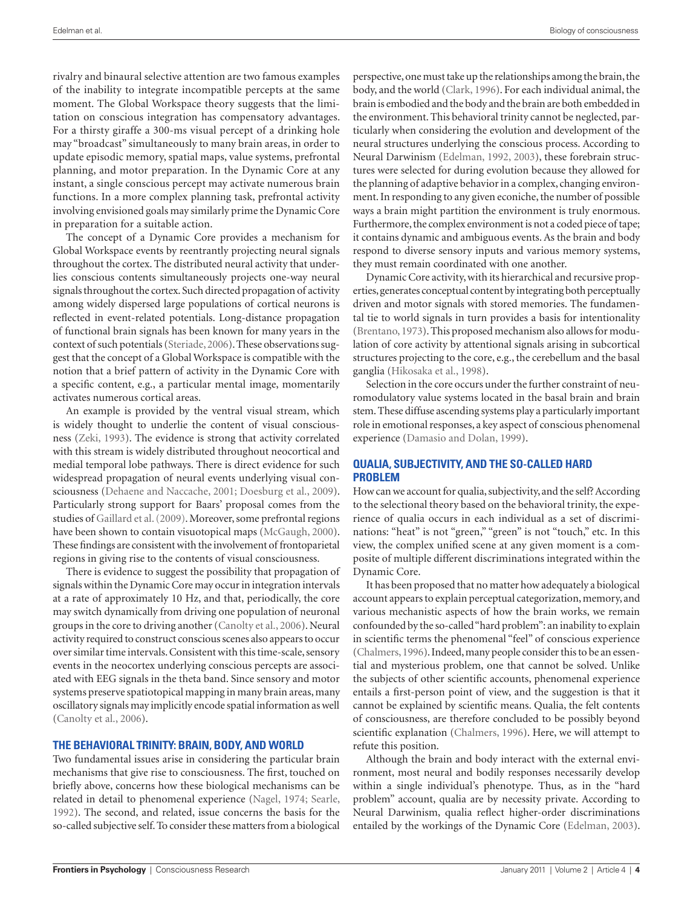rivalry and binaural selective attention are two famous examples of the inability to integrate incompatible percepts at the same moment. The Global Workspace theory suggests that the limitation on conscious integration has compensatory advantages. For a thirsty giraffe a 300-ms visual percept of a drinking hole may "broadcast" simultaneously to many brain areas, in order to update episodic memory, spatial maps, value systems, prefrontal planning, and motor preparation. In the Dynamic Core at any instant, a single conscious percept may activate numerous brain functions. In a more complex planning task, prefrontal activity involving envisioned goals may similarly prime the Dynamic Core in preparation for a suitable action.

The concept of a Dynamic Core provides a mechanism for Global Workspace events by reentrantly projecting neural signals throughout the cortex. The distributed neural activity that underlies conscious contents simultaneously projects one-way neural signals throughout the cortex. Such directed propagation of activity among widely dispersed large populations of cortical neurons is reflected in event-related potentials. Long-distance propagation of functional brain signals has been known for many years in the context of such potentials (Steriade, 2006). These observations suggest that the concept of a Global Workspace is compatible with the notion that a brief pattern of activity in the Dynamic Core with a specific content, e.g., a particular mental image, momentarily activates numerous cortical areas.

An example is provided by the ventral visual stream, which is widely thought to underlie the content of visual consciousness (Zeki, 1993). The evidence is strong that activity correlated with this stream is widely distributed throughout neocortical and medial temporal lobe pathways. There is direct evidence for such widespread propagation of neural events underlying visual consciousness (Dehaene and Naccache, 2001; Doesburg et al., 2009). Particularly strong support for Baars' proposal comes from the studies of Gaillard et al. (2009). Moreover, some prefrontal regions have been shown to contain visuotopical maps (McGaugh, 2000). These findings are consistent with the involvement of frontoparietal regions in giving rise to the contents of visual consciousness.

There is evidence to suggest the possibility that propagation of signals within the Dynamic Core may occur in integration intervals at a rate of approximately 10 Hz, and that, periodically, the core may switch dynamically from driving one population of neuronal groups in the core to driving another (Canolty et al., 2006). Neural activity required to construct conscious scenes also appears to occur over similar time intervals. Consistent with this time-scale, sensory events in the neocortex underlying conscious percepts are associated with EEG signals in the theta band. Since sensory and motor systems preserve spatiotopical mapping in many brain areas, many oscillatory signals may implicitly encode spatial information as well (Canolty et al., 2006).

#### **The Behavioral Trinity: brain, body, and world**

Two fundamental issues arise in considering the particular brain mechanisms that give rise to consciousness. The first, touched on briefly above, concerns how these biological mechanisms can be related in detail to phenomenal experience (Nagel, 1974; Searle, 1992). The second, and related, issue concerns the basis for the so-called subjective self. To consider these matters from a biological perspective, one must take up the relationships among the brain, the body, and the world (Clark, 1996). For each individual animal, the brain is embodied and the body and the brain are both embedded in the environment. This behavioral trinity cannot be neglected, particularly when considering the evolution and development of the neural structures underlying the conscious process. According to Neural Darwinism (Edelman, 1992, 2003), these forebrain structures were selected for during evolution because they allowed for the planning of adaptive behavior in a complex, changing environment. In responding to any given econiche, the number of possible ways a brain might partition the environment is truly enormous. Furthermore, the complex environment is not a coded piece of tape; it contains dynamic and ambiguous events. As the brain and body respond to diverse sensory inputs and various memory systems, they must remain coordinated with one another.

Dynamic Core activity, with its hierarchical and recursive properties, generates conceptual content by integrating both perceptually driven and motor signals with stored memories. The fundamental tie to world signals in turn provides a basis for intentionality (Brentano, 1973). This proposed mechanism also allows for modulation of core activity by attentional signals arising in subcortical structures projecting to the core, e.g., the cerebellum and the basal ganglia (Hikosaka et al., 1998).

Selection in the core occurs under the further constraint of neuromodulatory value systems located in the basal brain and brain stem. These diffuse ascending systems play a particularly important role in emotional responses, a key aspect of conscious phenomenal experience (Damasio and Dolan, 1999).

## **Qualia, subjectivity, and the so-called hard problem**

How can we account for qualia, subjectivity, and the self? According to the selectional theory based on the behavioral trinity, the experience of qualia occurs in each individual as a set of discriminations: "heat" is not "green," "green" is not "touch," etc. In this view, the complex unified scene at any given moment is a composite of multiple different discriminations integrated within the Dynamic Core.

It has been proposed that no matter how adequately a biological account appears to explain perceptual categorization, memory, and various mechanistic aspects of how the brain works, we remain confounded by the so-called "hard problem": an inability to explain in scientific terms the phenomenal "feel" of conscious experience (Chalmers, 1996). Indeed, many people consider this to be an essential and mysterious problem, one that cannot be solved. Unlike the subjects of other scientific accounts, phenomenal experience entails a first-person point of view, and the suggestion is that it cannot be explained by scientific means. Qualia, the felt contents of consciousness, are therefore concluded to be possibly beyond scientific explanation (Chalmers, 1996). Here, we will attempt to refute this position.

Although the brain and body interact with the external environment, most neural and bodily responses necessarily develop within a single individual's phenotype. Thus, as in the "hard problem" account, qualia are by necessity private. According to Neural Darwinism, qualia reflect higher-order discriminations entailed by the workings of the Dynamic Core (Edelman, 2003).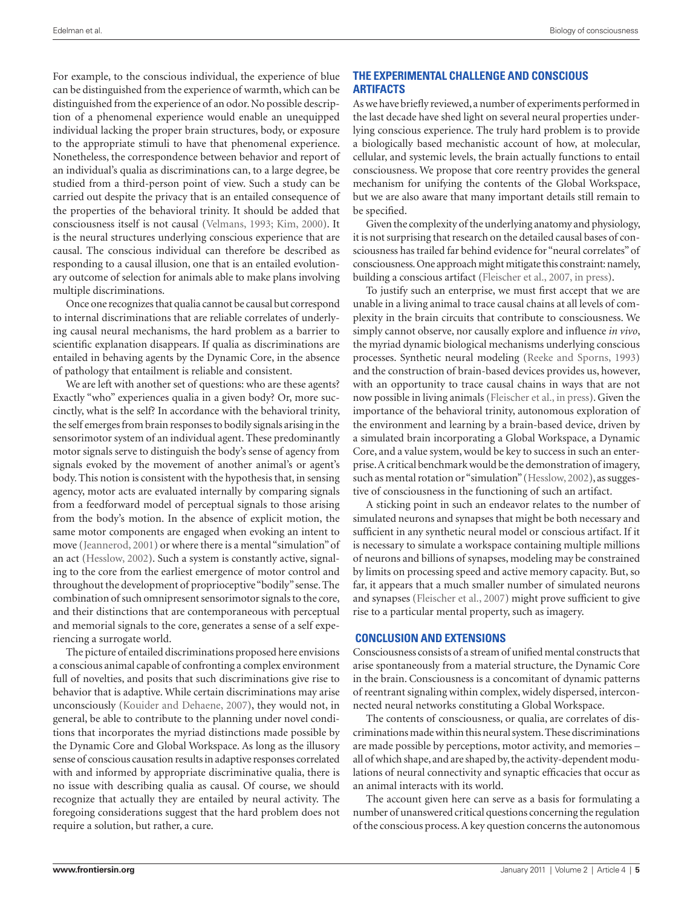For example, to the conscious individual, the experience of blue can be distinguished from the experience of warmth, which can be distinguished from the experience of an odor. No possible description of a phenomenal experience would enable an unequipped individual lacking the proper brain structures, body, or exposure to the appropriate stimuli to have that phenomenal experience. Nonetheless, the correspondence between behavior and report of an individual's qualia as discriminations can, to a large degree, be studied from a third-person point of view. Such a study can be carried out despite the privacy that is an entailed consequence of the properties of the behavioral trinity. It should be added that consciousness itself is not causal (Velmans, 1993; Kim, 2000). It is the neural structures underlying conscious experience that are causal. The conscious individual can therefore be described as responding to a causal illusion, one that is an entailed evolutionary outcome of selection for animals able to make plans involving multiple discriminations.

Once one recognizes that qualia cannot be causal but correspond to internal discriminations that are reliable correlates of underlying causal neural mechanisms, the hard problem as a barrier to scientific explanation disappears. If qualia as discriminations are entailed in behaving agents by the Dynamic Core, in the absence of pathology that entailment is reliable and consistent.

We are left with another set of questions: who are these agents? Exactly "who" experiences qualia in a given body? Or, more succinctly, what is the self? In accordance with the behavioral trinity, the self emerges from brain responses to bodily signals arising in the sensorimotor system of an individual agent. These predominantly motor signals serve to distinguish the body's sense of agency from signals evoked by the movement of another animal's or agent's body. This notion is consistent with the hypothesis that, in sensing agency, motor acts are evaluated internally by comparing signals from a feedforward model of perceptual signals to those arising from the body's motion. In the absence of explicit motion, the same motor components are engaged when evoking an intent to move (Jeannerod, 2001) or where there is a mental "simulation" of an act (Hesslow, 2002). Such a system is constantly active, signaling to the core from the earliest emergence of motor control and throughout the development of proprioceptive "bodily" sense. The combination of such omnipresent sensorimotor signals to the core, and their distinctions that are contemporaneous with perceptual and memorial signals to the core, generates a sense of a self experiencing a surrogate world.

The picture of entailed discriminations proposed here envisions a conscious animal capable of confronting a complex environment full of novelties, and posits that such discriminations give rise to behavior that is adaptive. While certain discriminations may arise unconsciously (Kouider and Dehaene, 2007), they would not, in general, be able to contribute to the planning under novel conditions that incorporates the myriad distinctions made possible by the Dynamic Core and Global Workspace. As long as the illusory sense of conscious causation results in adaptive responses correlated with and informed by appropriate discriminative qualia, there is no issue with describing qualia as causal. Of course, we should recognize that actually they are entailed by neural activity. The foregoing considerations suggest that the hard problem does not require a solution, but rather, a cure.

## **The experimental challenge and conscious artifacts**

As we have briefly reviewed, a number of experiments performed in the last decade have shed light on several neural properties underlying conscious experience. The truly hard problem is to provide a biologically based mechanistic account of how, at molecular, cellular, and systemic levels, the brain actually functions to entail consciousness. We propose that core reentry provides the general mechanism for unifying the contents of the Global Workspace, but we are also aware that many important details still remain to be specified.

Given the complexity of the underlying anatomy and physiology, it is not surprising that research on the detailed causal bases of consciousness has trailed far behind evidence for "neural correlates" of consciousness. One approach might mitigate this constraint: namely, building a conscious artifact (Fleischer et al., 2007, in press).

To justify such an enterprise, we must first accept that we are unable in a living animal to trace causal chains at all levels of complexity in the brain circuits that contribute to consciousness. We simply cannot observe, nor causally explore and influence *in vivo*, the myriad dynamic biological mechanisms underlying conscious processes. Synthetic neural modeling (Reeke and Sporns, 1993) and the construction of brain-based devices provides us, however, with an opportunity to trace causal chains in ways that are not now possible in living animals (Fleischer et al., in press). Given the importance of the behavioral trinity, autonomous exploration of the environment and learning by a brain-based device, driven by a simulated brain incorporating a Global Workspace, a Dynamic Core, and a value system, would be key to success in such an enterprise. A critical benchmark would be the demonstration of imagery, such as mental rotation or "simulation" (Hesslow, 2002), as suggestive of consciousness in the functioning of such an artifact.

A sticking point in such an endeavor relates to the number of simulated neurons and synapses that might be both necessary and sufficient in any synthetic neural model or conscious artifact. If it is necessary to simulate a workspace containing multiple millions of neurons and billions of synapses, modeling may be constrained by limits on processing speed and active memory capacity. But, so far, it appears that a much smaller number of simulated neurons and synapses (Fleischer et al., 2007) might prove sufficient to give rise to a particular mental property, such as imagery.

### **Conclusion and extensions**

Consciousness consists of a stream of unified mental constructs that arise spontaneously from a material structure, the Dynamic Core in the brain. Consciousness is a concomitant of dynamic patterns of reentrant signaling within complex, widely dispersed, interconnected neural networks constituting a Global Workspace.

The contents of consciousness, or qualia, are correlates of discriminations made within this neural system. These discriminations are made possible by perceptions, motor activity, and memories – all of which shape, and are shaped by, the activity-dependent modulations of neural connectivity and synaptic efficacies that occur as an animal interacts with its world.

The account given here can serve as a basis for formulating a number of unanswered critical questions concerning the regulation of the conscious process. A key question concerns the autonomous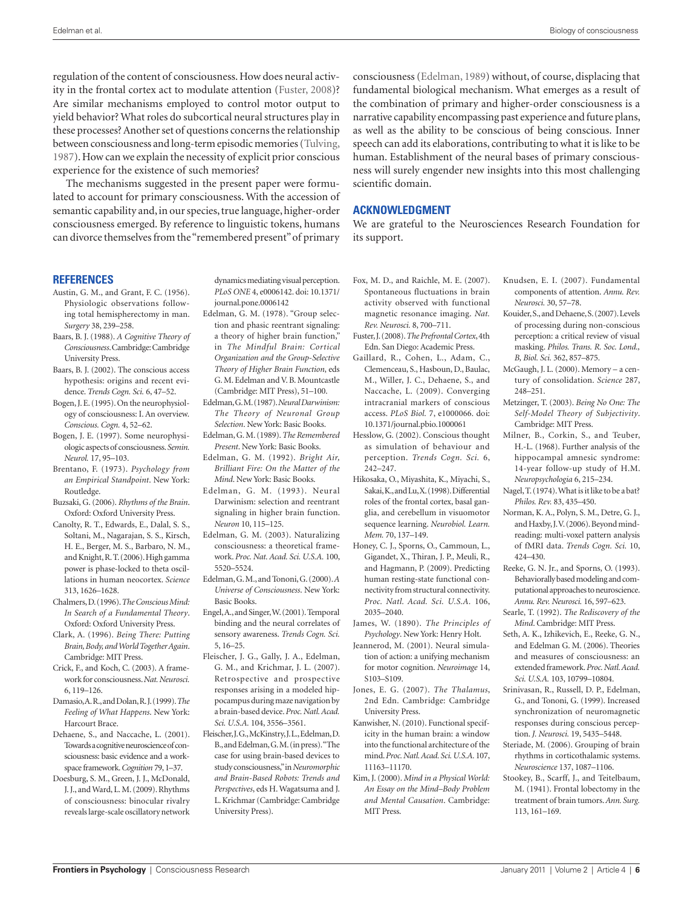regulation of the content of consciousness. How does neural activity in the frontal cortex act to modulate attention (Fuster, 2008)? Are similar mechanisms employed to control motor output to yield behavior? What roles do subcortical neural structures play in these processes? Another set of questions concerns the relationship between consciousness and long-term episodic memories (Tulving, 1987). How can we explain the necessity of explicit prior conscious experience for the existence of such memories?

The mechanisms suggested in the present paper were formulated to account for primary consciousness. With the accession of semantic capability and, in our species, true language, higher-order consciousness emerged. By reference to linguistic tokens, humans can divorce themselves from the "remembered present" of primary consciousness (Edelman, 1989) without, of course, displacing that fundamental biological mechanism. What emerges as a result of the combination of primary and higher-order consciousness is a narrative capability encompassing past experience and future plans, as well as the ability to be conscious of being conscious. Inner speech can add its elaborations, contributing to what it is like to be human. Establishment of the neural bases of primary consciousness will surely engender new insights into this most challenging scientific domain.

## **Acknowledgment**

We are grateful to the Neurosciences Research Foundation for its support.

#### **References**

- Austin, G. M., and Grant, F. C. (1956). Physiologic observations following total hemispherectomy in man. *Surgery* 38, 239–258.
- Baars, B. J. (1988). *A Cognitive Theory of Consciousness*. Cambridge: Cambridge University Press.
- Baars, B. J. (2002). The conscious access hypothesis: origins and recent evidence. *Trends Cogn. Sci.* 6, 47–52.
- Bogen, J. E. (1995). On the neurophysiology of consciousness: I. An overview. *Conscious. Cogn.* 4, 52–62.
- Bogen, J. E. (1997). Some neurophysiologic aspects of consciousness. *Semin. Neurol.* 17, 95–103.
- Brentano, F. (1973). *Psychology from an Empirical Standpoint*. New York: Routledge.
- Buzsaki, G. (2006). *Rhythms of the Brain*. Oxford: Oxford University Press.
- Canolty, R. T., Edwards, E., Dalal, S. S., Soltani, M., Nagarajan, S. S., Kirsch, H. E., Berger, M. S., Barbaro, N. M., and Knight, R. T. (2006). High gamma power is phase-locked to theta oscillations in human neocortex. *Science*  313, 1626–1628.
- Chalmers, D. (1996). *The Conscious Mind: In Search of a Fundamental Theory*. Oxford: Oxford University Press.
- Clark, A. (1996). *Being There: Putting Brain, Body, and World Together Again*. Cambridge: MIT Press.
- Crick, F., and Koch, C. (2003). A framework for consciousness. *Nat. Neurosci.*  6, 119–126.
- Damasio, A. R., and Dolan, R. J. (1999). *The Feeling of What Happens*. New York: Harcourt Brace.
- Dehaene, S., and Naccache, L. (2001). Towards a cognitive neuroscience of consciousness: basic evidence and a workspace framework. *Cognition* 79, 1–37.
- Doesburg, S. M., Green, J. J., McDonald, J. J., and Ward, L. M. (2009). Rhythms of consciousness: binocular rivalry reveals large-scale oscillatory network

dynamics mediating visual perception. *PLoS ONE* 4, e0006142. doi: 10.1371/ journal.pone.0006142

- Edelman, G. M. (1978). "Group selection and phasic reentrant signaling: a theory of higher brain function," in *The Mindful Brain: Cortical Organization and the Group-Selective Theory of Higher Brain Function*, eds G. M. Edelman and V. B. Mountcastle (Cambridge: MIT Press), 51–100.
- Edelman, G. M. (1987). *Neural Darwinism: The Theory of Neuronal Group Selection*. New York: Basic Books.
- Edelman, G. M. (1989). *The Remembered Present*. New York: Basic Books.
- Edelman, G. M. (1992). *Bright Air, Brilliant Fire: On the Matter of the Mind*. New York: Basic Books.
- Edelman, G. M. (1993). Neural Darwinism: selection and reentrant signaling in higher brain function. *Neuron* 10, 115–125.
- Edelman, G. M. (2003). Naturalizing consciousness: a theoretical framework. *Proc. Nat. Acad. Sci. U.S.A.* 100, 5520–5524.
- Edelman, G. M., and Tononi, G. (2000). *A Universe of Consciousness*. New York: Basic Books.
- Engel, A., and Singer, W. (2001). Temporal binding and the neural correlates of sensory awareness. *Trends Cogn. Sci.*  5, 16–25.
- Fleischer, J. G., Gally, J. A., Edelman, G. M., and Krichmar, J. L. (2007). Retrospective and prospective responses arising in a modeled hippocampus during maze navigation by a brain-based device. *Proc. Natl. Acad. Sci. U.S.A.* 104, 3556–3561.
- Fleischer, J. G., McKinstry, J. L., Edelman, D. B., and Edelman, G. M. (in press). "The case for using brain-based devices to study consciousness," in *Neuromorphic and Brain-Based Robots: Trends and Perspectives*, eds H. Wagatsuma and J. L. Krichmar (Cambridge: Cambridge University Press).
- Fox, M. D., and Raichle, M. E. (2007). Spontaneous fluctuations in brain activity observed with functional magnetic resonance imaging. *Nat. Rev. Neurosci.* 8, 700–711.
- Fuster, J. (2008). *The Prefrontal Cortex*, 4th Edn. San Diego: Academic Press.
- Gaillard, R., Cohen, L., Adam, C., Clemenceau, S., Hasboun, D., Baulac, M., Willer, J. C., Dehaene, S., and Naccache, L. (2009). Converging intracranial markers of conscious access. *PLoS Biol.* 7, e1000066. doi: 10.1371/journal.pbio.1000061
- Hesslow, G. (2002). Conscious thought as simulation of behaviour and perception. *Trends Cogn. Sci.* 6, 242–247.
- Hikosaka, O., Miyashita, K., Miyachi, S., Sakai, K., and Lu, X. (1998). Differential roles of the frontal cortex, basal ganglia, and cerebellum in visuomotor sequence learning. *Neurobiol. Learn. Mem.* 70, 137–149.
- Honey, C. J., Sporns, O., Cammoun, L., Gigandet, X., Thiran, J. P., Meuli, R., and Hagmann, P. (2009). Predicting human resting-state functional connectivity from structural connectivity. *Proc. Natl. Acad. Sci. U.S.A.* 106, 2035–2040.
- James, W. (1890). *The Principles of Psychology*. New York: Henry Holt.
- Jeannerod, M. (2001). Neural simulation of action: a unifying mechanism for motor cognition. *Neuroimage* 14, S103–S109.
- Jones, E. G. (2007). *The Thalamus*, 2nd Edn. Cambridge: Cambridge University Press.
- Kanwisher, N. (2010). Functional specificity in the human brain: a window into the functional architecture of the mind. *Proc. Natl. Acad. Sci. U.S.A.* 107, 11163–11170.
- Kim, J. (2000). *Mind in a Physical World: An Essay on the Mind–Body Problem and Mental Causation*. Cambridge: MIT Press.
- Knudsen, E. I. (2007). Fundamental components of attention. *Annu. Rev. Neurosci.* 30, 57–78.
- Kouider, S., and Dehaene, S. (2007). Levels of processing during non-conscious perception: a critical review of visual masking. *Philos. Trans. R. Soc. Lond., B, Biol. Sci.* 362, 857–875.
- McGaugh, J. L. (2000). Memory a century of consolidation. *Science* 287, 248–251.
- Metzinger, T. (2003). *Being No One: The Self-Model Theory of Subjectivity*. Cambridge: MIT Press.
- Milner, B., Corkin, S., and Teuber, H.-L. (1968). Further analysis of the hippocampal amnesic syndrome: 14-year follow-up study of H.M. *Neuropsychologia* 6, 215–234.
- Nagel, T. (1974). What is it like to be a bat? *Philos. Rev.* 83, 435–450.
- Norman, K. A., Polyn, S. M., Detre, G. J., and Haxby, J. V. (2006). Beyond mindreading: multi-voxel pattern analysis of fMRI data. *Trends Cogn. Sci.* 10, 424–430.
- Reeke, G. N. Jr., and Sporns, O. (1993). Behaviorally based modeling and computational approaches to neuroscience. *Annu. Rev. Neurosci.* 16, 597–623.
- Searle, T. (1992). *The Rediscovery of the Mind*. Cambridge: MIT Press.
- Seth, A. K., Izhikevich, E., Reeke, G. N., and Edelman G. M. (2006). Theories and measures of consciousness: an extended framework. *Proc. Natl. Acad. Sci. U.S.A.* 103, 10799–10804.
- Srinivasan, R., Russell, D. P., Edelman, G., and Tononi, G. (1999). Increased synchronization of neuromagnetic responses during conscious perception. *J. Neurosci.* 19, 5435–5448.
- Steriade, M. (2006). Grouping of brain rhythms in corticothalamic systems. *Neuroscience* 137, 1087–1106.
- Stookey, B., Scarff, J., and Teitelbaum, M. (1941). Frontal lobectomy in the treatment of brain tumors. *Ann. Surg.*  113, 161–169.